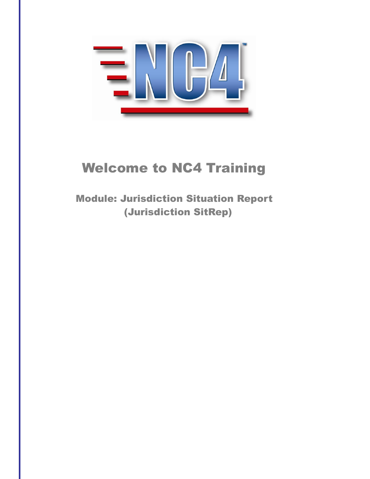

# Welcome to NC4 Training

 Module: Jurisdiction Situation Report (Jurisdiction SitRep)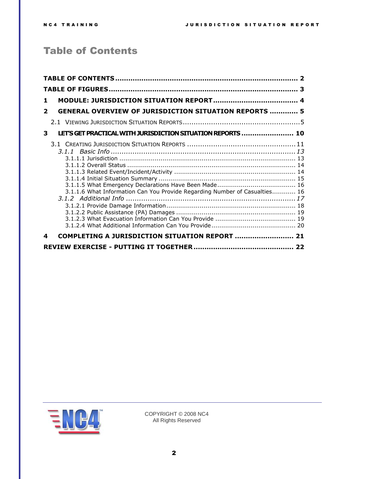# <span id="page-1-0"></span>Table of Contents

| 1              |                                                                            |  |
|----------------|----------------------------------------------------------------------------|--|
| $\overline{2}$ | <b>GENERAL OVERVIEW OF JURISDICTION SITUATION REPORTS  5</b>               |  |
|                |                                                                            |  |
| 3              | LET'S GET PRACTICAL WITH JURISDICTION SITUATION REPORTS  10                |  |
|                | 3.1.1.6 What Information Can You Provide Regarding Number of Casualties 16 |  |
| 4              | COMPLETING A JURISDICTION SITUATION REPORT  21                             |  |
|                |                                                                            |  |

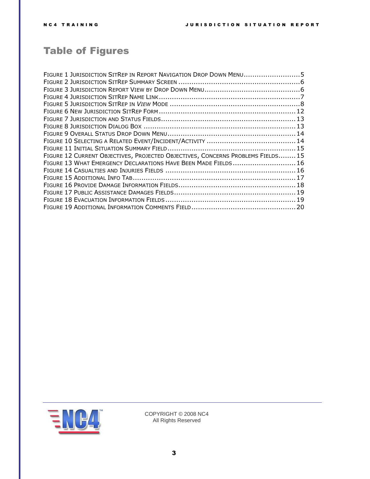# <span id="page-2-0"></span>Table of Figures

| FIGURE 1 JURISDICTION SITREP IN REPORT NAVIGATION DROP DOWN MENU5              |  |
|--------------------------------------------------------------------------------|--|
|                                                                                |  |
|                                                                                |  |
|                                                                                |  |
|                                                                                |  |
|                                                                                |  |
|                                                                                |  |
|                                                                                |  |
|                                                                                |  |
|                                                                                |  |
|                                                                                |  |
| FIGURE 12 CURRENT OBJECTIVES, PROJECTED OBJECTIVES, CONCERNS PROBLEMS FIELDS15 |  |
| FIGURE 13 WHAT EMERGENCY DECLARATIONS HAVE BEEN MADE FIELDS  16                |  |
|                                                                                |  |
|                                                                                |  |
|                                                                                |  |
|                                                                                |  |
|                                                                                |  |
|                                                                                |  |

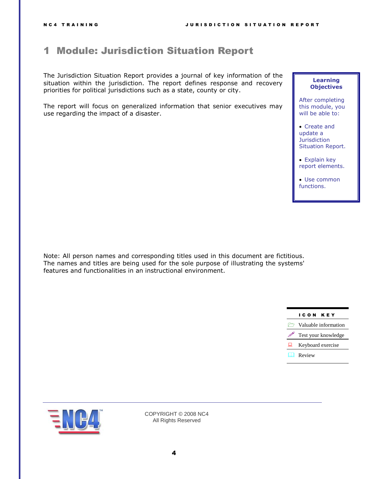# <span id="page-3-0"></span>1 Module: Jurisdiction Situation Report

The Jurisdiction Situation Report provides a journal of key information of the situation within the jurisdiction. The report defines response and recovery priorities for political jurisdictions such as a state, county or city.

The report will focus on generalized information that senior executives may use regarding the impact of a disaster.

#### **Learning Objectives**

After completing this module, you will be able to:

- Create and update a **Jurisdiction** Situation Report.
- Explain key report elements.

 Use common functions.

Note: All person names and corresponding titles used in this document are fictitious. The names and titles are being used for the sole purpose of illustrating the systems' features and functionalities in an instructional environment.



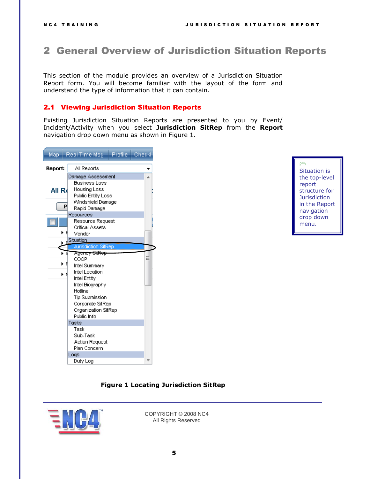# <span id="page-4-0"></span>2 General Overview of Jurisdiction Situation Reports

This section of the module provides an overview of a Jurisdiction Situation Report form. You will become familiar with the layout of the form and understand the type of information that it can contain.

#### <span id="page-4-1"></span>2.1 Viewing Jurisdiction Situation Reports

Existing Jurisdiction Situation Reports are presented to you by Event/ Incident/Activity when you select **Jurisdiction SitRep** from the **Report**  navigation drop down menu as shown in [Figure 1.](#page-4-2)

|                | Map Real Time Msg                                                                                                                                                                                            | Profile   Checkli |
|----------------|--------------------------------------------------------------------------------------------------------------------------------------------------------------------------------------------------------------|-------------------|
| Report:        | All Reports                                                                                                                                                                                                  |                   |
| All R∢         | Damage Assessment<br><b>Business Loss</b><br>Housing Loss<br>Public Entity Loss<br>Windshield Damage                                                                                                         |                   |
| P              | Rapid Damage<br>Resources                                                                                                                                                                                    |                   |
| ÞЕ             | Resource Request<br><b>Critical Assets</b><br>Vendor                                                                                                                                                         |                   |
|                | <b>Situation</b><br><b>Jurisdiction SitRep</b>                                                                                                                                                               |                   |
| ÞИ<br>ÞЯ<br>ÞМ | Agenc <del>y SilRep</del><br>COOP<br>Intel Summary<br><b>Intel Location</b><br>Intel Entity<br>Intel Biography<br>Hotline<br><b>Tip Submission</b><br>Corporate SitRep<br>Organization SitRep<br>Public Info | Ξ                 |
|                | Tasks<br>Task<br>Sub-Task<br><b>Action Request</b>                                                                                                                                                           |                   |
|                | Plan Concern<br>Logs                                                                                                                                                                                         |                   |
|                | Duty Log                                                                                                                                                                                                     |                   |

#### $\rightarrow$ Situation is the top-level report structure for **Jurisdiction** in the Report navigation drop down menu.

#### **Figure 1 Locating Jurisdiction SitRep**

<span id="page-4-2"></span>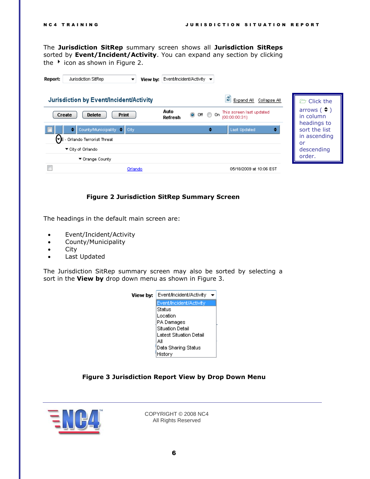The **Jurisdiction SitRep** summary screen shows all **Jurisdiction SitReps** sorted by **Event/Incident/Activity**. You can expand any section by clicking the  $\rightarrow$  icon as shown in [Figure 2.](#page-5-0)

| Report: | Jurisdiction SitRep                                                                              | View by:<br>▼ | Event/Incident/Activity $\blacktriangledown$ |                   |                                           |                                                    |
|---------|--------------------------------------------------------------------------------------------------|---------------|----------------------------------------------|-------------------|-------------------------------------------|----------------------------------------------------|
|         | Jurisdiction by Event/Incident/Activity                                                          |               |                                              |                   | g<br>Expand All<br>Collapse All           | Click the                                          |
| Create  | Print<br><b>Delete</b>                                                                           |               | Auto<br>Refresh                              | <b>⊙</b> Off © On | This screen last updated<br>(00:00:00:31) | arrows $($ $\Rightarrow$ $)$<br>in column          |
|         | County/Municipality $\Rightarrow$ City<br>٠<br>$\blacktriangledown$ E - Orlando Terrorist Threat |               |                                              | ٠                 | <b>Last Updated</b><br>٠                  | headings to<br>sort the list<br>in ascending<br>or |
|         | ▼ City of Orlando<br>▼ Orange County                                                             |               |                                              |                   |                                           | descending<br>order.                               |
|         |                                                                                                  | Orlando       |                                              |                   | 05/18/2009 at 10:06 EST                   |                                                    |

#### **Figure 2 Jurisdiction SitRep Summary Screen**

<span id="page-5-0"></span>The headings in the default main screen are:

- Event/Incident/Activity
- County/Municipality
- City
- Last Updated

The Jurisdiction SitRep summary screen may also be sorted by selecting a sort in the **View by** drop down menu as shown in [Figure 3.](#page-5-1)

| Event/Incident/Activity<br>View by: |  |  |  |  |
|-------------------------------------|--|--|--|--|
| Event/Incident/Activity             |  |  |  |  |
| Status                              |  |  |  |  |
| Location                            |  |  |  |  |
| PA Damages                          |  |  |  |  |
| <b>Situation Detail</b>             |  |  |  |  |
| Latest Situation Detail             |  |  |  |  |
| Аll                                 |  |  |  |  |
| Data Sharing Status                 |  |  |  |  |
| History                             |  |  |  |  |
|                                     |  |  |  |  |

#### **Figure 3 Jurisdiction Report View by Drop Down Menu**

<span id="page-5-1"></span>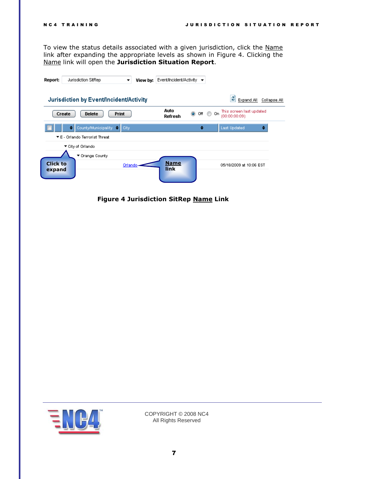To view the status details associated with a given jurisdiction, click the Name link after expanding the appropriate levels as shown in [Figure 4.](#page-6-0) Clicking the Name link will open the **Jurisdiction Situation Report**.

| Report:                   | Jurisdiction SitRep                     | View by:<br>▼ | Event/Incident/Activity ▼ |             |                                                       |              |
|---------------------------|-----------------------------------------|---------------|---------------------------|-------------|-------------------------------------------------------|--------------|
|                           | Jurisdiction by Event/Incident/Activity |               |                           |             | ø<br>Expand All                                       | Collapse All |
|                           | <b>Print</b><br>Create<br><b>Delete</b> |               | Auto<br>Refresh           | $\odot$ off | This screen last updated<br>On.<br>⊙<br>(00:00:00:09) |              |
|                           | County/Municipality $\leftarrow$        | City          |                           | ٠           | <b>Last Updated</b><br>٠                              |              |
|                           | ▼ E - Orlando Terrorist Threat          |               |                           |             |                                                       |              |
|                           | ▼ City of Orlando                       |               |                           |             |                                                       |              |
|                           | ▼ Orange County                         |               |                           |             |                                                       |              |
| <b>Click to</b><br>expand |                                         | Orlando-      | <b>Name</b><br>link       |             | 05/18/2009 at 10:06 EST                               |              |

<span id="page-6-0"></span>**Figure 4 Jurisdiction SitRep Name Link**

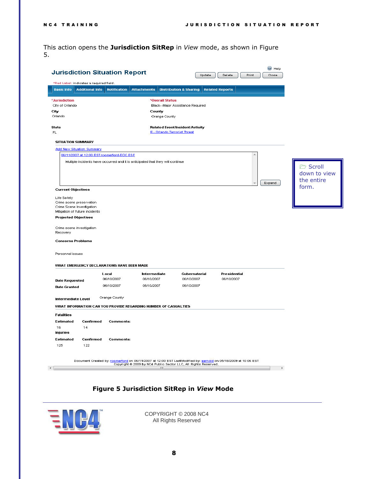This action opens the **Jurisdiction SitRep** in *View* mode, as shown in [Figure](#page-7-0)  [5.](#page-7-0)

| <b>Jurisdiction Situation Report</b>                  |                                                                                                                |                                                                      | Update                            | Delete<br>Print        | C Help<br>Close |                 |
|-------------------------------------------------------|----------------------------------------------------------------------------------------------------------------|----------------------------------------------------------------------|-----------------------------------|------------------------|-----------------|-----------------|
| *Red Label: indicates a required field.               |                                                                                                                |                                                                      |                                   |                        |                 |                 |
| <b>Basic Info</b><br><b>Additional Info</b>           | <b>Notification</b>                                                                                            | <b>Attachments</b>                                                   | <b>Distribution &amp; Sharing</b> | <b>Related Reports</b> |                 |                 |
|                                                       |                                                                                                                |                                                                      |                                   |                        |                 |                 |
| *Jurisdiction<br>City of Orlando                      |                                                                                                                | *Overall Status                                                      | Black--Major Assistance Required  |                        |                 |                 |
| City                                                  |                                                                                                                | County                                                               |                                   |                        |                 |                 |
| Orlando                                               |                                                                                                                | Orange County                                                        |                                   |                        |                 |                 |
| State                                                 |                                                                                                                | Related Event/Incident/Activity                                      |                                   |                        |                 |                 |
| FL.                                                   |                                                                                                                | E - Orlando Terrorist Threat                                         |                                   |                        |                 |                 |
| <b>SITUATION SUMMARY</b>                              |                                                                                                                |                                                                      |                                   |                        |                 |                 |
| <b>Add New Situation Summary</b>                      |                                                                                                                |                                                                      |                                   |                        |                 |                 |
|                                                       | 06/11/2007 at 12:00 EST roomerford-EOC ESF                                                                     |                                                                      |                                   |                        |                 |                 |
|                                                       | Multiple incidents have occurred and it is anticipated that they will continue                                 |                                                                      |                                   |                        |                 |                 |
|                                                       |                                                                                                                |                                                                      |                                   |                        |                 | <b>C</b> Scroll |
|                                                       |                                                                                                                |                                                                      |                                   |                        |                 | down to view    |
|                                                       |                                                                                                                |                                                                      |                                   |                        | Expand          | the entire      |
| <b>Current Objectives</b>                             |                                                                                                                |                                                                      |                                   |                        |                 | form.           |
| Life Safety                                           |                                                                                                                |                                                                      |                                   |                        |                 |                 |
| Crime scene preservation<br>Crime Scene Investigation |                                                                                                                |                                                                      |                                   |                        |                 |                 |
| Mitigation of future incidents                        |                                                                                                                |                                                                      |                                   |                        |                 |                 |
| <b>Projected Objectives</b>                           |                                                                                                                |                                                                      |                                   |                        |                 |                 |
| Crime scene investigation                             |                                                                                                                |                                                                      |                                   |                        |                 |                 |
| Recovery                                              |                                                                                                                |                                                                      |                                   |                        |                 |                 |
| <b>Concerns Problems</b>                              |                                                                                                                |                                                                      |                                   |                        |                 |                 |
|                                                       |                                                                                                                |                                                                      |                                   |                        |                 |                 |
| Personnel issues                                      |                                                                                                                |                                                                      |                                   |                        |                 |                 |
|                                                       | WHAT EMERGENCY DECLARATIONS HAVE BEEN MADE                                                                     |                                                                      |                                   |                        |                 |                 |
|                                                       | Local                                                                                                          | Intermediate                                                         | Gubernatorial                     | Presidential           |                 |                 |
| <b>Date Requested</b>                                 | 06/10/2007                                                                                                     | 06/10/2007                                                           | 06/10/2007                        | 06/10/2007             |                 |                 |
| <b>Date Granted</b>                                   | 06/10/2007                                                                                                     | 06/10/2007                                                           | 06/10/2007                        |                        |                 |                 |
|                                                       |                                                                                                                |                                                                      |                                   |                        |                 |                 |
| Intermediate Level                                    | Orange County                                                                                                  |                                                                      |                                   |                        |                 |                 |
|                                                       | WHAT INFORMATION CAN YOU PROVIDE REGARDING NUMBER OF CASUALTIES                                                |                                                                      |                                   |                        |                 |                 |
| <b>Fatalities</b>                                     |                                                                                                                |                                                                      |                                   |                        |                 |                 |
| Estimated<br>Confirmed                                | Comments:                                                                                                      |                                                                      |                                   |                        |                 |                 |
| 16<br>14                                              |                                                                                                                |                                                                      |                                   |                        |                 |                 |
| Injuries<br>Confirmed                                 | <b>Comments:</b>                                                                                               |                                                                      |                                   |                        |                 |                 |
| Estimated<br>122<br>125                               |                                                                                                                |                                                                      |                                   |                        |                 |                 |
|                                                       |                                                                                                                |                                                                      |                                   |                        |                 |                 |
|                                                       |                                                                                                                |                                                                      |                                   |                        |                 |                 |
|                                                       | Document Created by: roomerford on 06/11/2007 at 12:00 EST LastModified by: aarnold on 05/18/2009 at 10:06 EST | Copyright @ 2009 by NC4 Public Sector LLC, All Rights Reserved.<br>ш |                                   |                        |                 |                 |
| ∢∣                                                    |                                                                                                                |                                                                      |                                   |                        | Þ               |                 |

### **Figure 5 Jurisdiction SitRep in** *View* **Mode**

<span id="page-7-0"></span>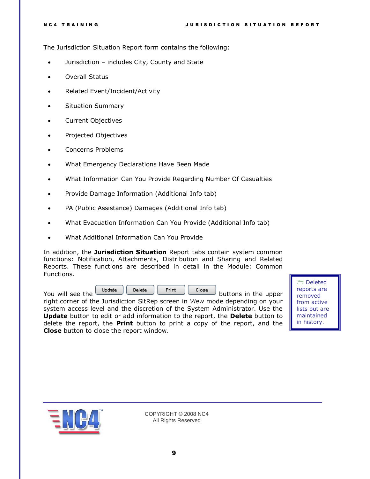The Jurisdiction Situation Report form contains the following:

- Jurisdiction includes City, County and State
- Overall Status
- Related Event/Incident/Activity
- **•** Situation Summary
- Current Objectives
- Projected Objectives
- Concerns Problems
- What Emergency Declarations Have Been Made
- What Information Can You Provide Regarding Number Of Casualties
- Provide Damage Information (Additional Info tab)
- PA (Public Assistance) Damages (Additional Info tab)
- What Evacuation Information Can You Provide (Additional Info tab)
- What Additional Information Can You Provide

In addition, the **Jurisdiction Situation** Report tabs contain system common functions: Notification, Attachments, Distribution and Sharing and Related Reports. These functions are described in detail in the Module: Common Functions.

| You will see the | <b>Update</b> | Delete | Print | Close | buttons in the upper |  |
|------------------|---------------|--------|-------|-------|----------------------|--|
|                  |               |        |       |       |                      |  |

right corner of the Jurisdiction SitRep screen in *View* mode depending on your system access level and the discretion of the System Administrator. Use the **Update** button to edit or add information to the report, the **Delete** button to delete the report, the **Print** button to print a copy of the report, and the **Close** button to close the report window.

 Deleted reports are removed from active lists but are maintained in history.

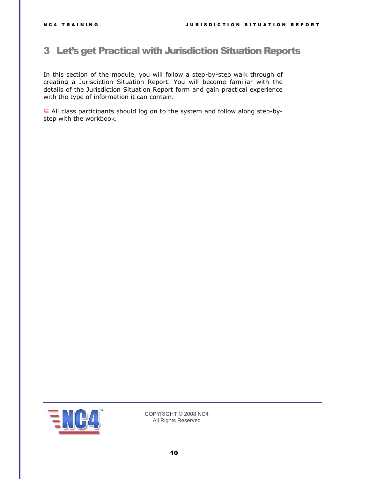## <span id="page-9-0"></span>3 Let's get Practical with Jurisdiction Situation Reports

In this section of the module, you will follow a step-by-step walk through of creating a Jurisdiction Situation Report. You will become familiar with the details of the Jurisdiction Situation Report form and gain practical experience with the type of information it can contain.

 All class participants should log on to the system and follow along step-bystep with the workbook.

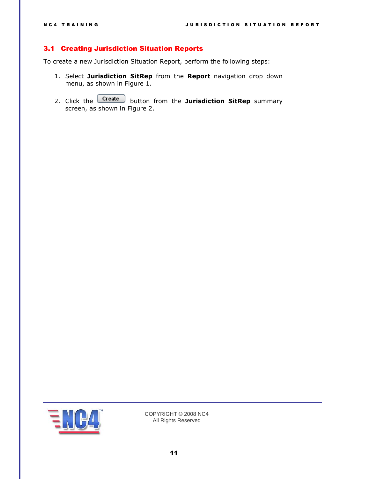#### <span id="page-10-0"></span>3.1 Creating Jurisdiction Situation Reports

To create a new Jurisdiction Situation Report, perform the following steps:

- 1. Select **Jurisdiction SitRep** from the **Report** navigation drop down menu, as shown in [Figure 1.](#page-4-2)
- 2. Click the **Create** button from the **Jurisdiction SitRep** summary screen, as shown in [Figure 2.](#page-5-0)

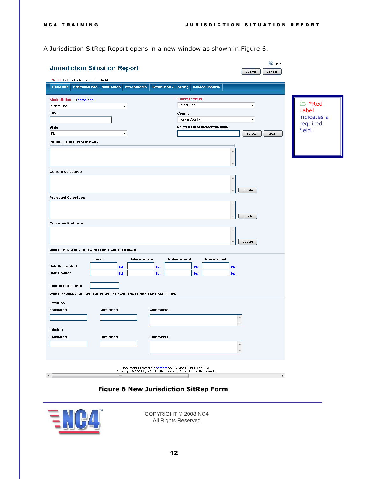A Jurisdiction SitRep Report opens in a new window as shown in [Figure 6.](#page-11-0)

| <b>Jurisdiction Situation Report</b><br>*Red Label: indicates a required field.                                                                                                                   | C Help<br>Submit<br>Cancel                                                                                                |                                                             |
|---------------------------------------------------------------------------------------------------------------------------------------------------------------------------------------------------|---------------------------------------------------------------------------------------------------------------------------|-------------------------------------------------------------|
| <b>Basic Info</b><br><b>Additional Info</b><br><b>Notification</b><br><b>Attachments</b><br><b>Distribution &amp; Sharing</b>                                                                     | <b>Related Reports</b>                                                                                                    |                                                             |
| *Jurisdiction<br>Search/Add<br>Select One<br>$\overline{\phantom{a}}$<br>City<br><b>State</b><br>FL<br>$\overline{\phantom{a}}$<br><b>INITIAL SITUATION SUMMARY</b>                               | *Overall Status<br>Select One<br>۰<br>County<br>Florida County<br>٠<br>Related Event/Incident/Activity<br>Select<br>Clear | <b>≥ *Red</b><br>Label<br>indicates a<br>required<br>field. |
| <b>Current Objectives</b><br><b>Projected Objectives</b><br><b>Concerns Problems</b><br>WHAT EMERGENCY DECLARATIONS HAVE BEEN MADE                                                                | Update<br>Update<br>Update                                                                                                |                                                             |
| Local<br>Intermediate<br><b>Date Requested</b><br>Set<br>Set<br><b>Date Granted</b><br>Set<br><u>Set</u><br>Intermediate Level<br>WHAT INFORMATION CAN YOU PROVIDE REGARDING NUMBER OF CASUALTIES | Gubernatorial<br>Presidential<br>Set<br>Set<br><u>Set</u><br><b>Set</b>                                                   |                                                             |
| <b>Fatalities</b><br>Estimated<br>Confirmed<br>Comments:<br>Injuries<br>Confirmed<br>Estimated<br><b>Comments:</b>                                                                                | A<br>۸                                                                                                                    |                                                             |
| Document Created by: content on 09/24/2009 at 09:55 EST<br>Copyright @ 2009 by NC4 Public Sector LLC, All Rights Reserved.<br>$\mathbf{H}_1$                                                      |                                                                                                                           |                                                             |

### **Figure 6 New Jurisdiction SitRep Form**

<span id="page-11-0"></span>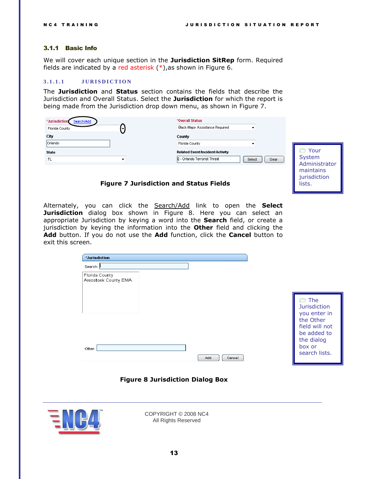#### <span id="page-12-0"></span>3.1.1 Basic Info

We will cover each unique section in the **Jurisdiction SitRep** form. Required fields are indicated by a red asterisk  $(*)$ , as shown in [Figure 6.](#page-11-0)

#### <span id="page-12-1"></span>**3 . 1 . 1 . 1 J U R I S D I C T I O N**

The **Jurisdiction** and **Status** section contains the fields that describe the Jurisdiction and Overall Status. Select the **Jurisdiction** for which the report is being made from the Jurisdiction drop down menu, as shown in [Figure 7.](#page-12-2)

| *Jurisdiction<br>Search/Add | *Overall Status                                     |    |
|-----------------------------|-----------------------------------------------------|----|
| Florida County              | <b>Black-Major Assistance Required</b>              |    |
| City                        | County                                              |    |
| Orlando                     | Florida County                                      |    |
| <b>State</b>                | <b>Related Event/Incident/Activity</b>              |    |
| FL                          | E - Orlando Terrorist Threat<br>Clear<br>Select<br> | S٧ |
|                             |                                                     | Ac |

 Your stem dministrator maintains jurisdiction lists.

#### **Figure 7 Jurisdiction and Status Fields**

<span id="page-12-2"></span>Alternately, you can click the Search/Add link to open the **Select Jurisdiction** dialog box shown in [Figure 8.](#page-12-3) Here you can select an appropriate Jurisdiction by keying a word into the **Search** field, or create a jurisdiction by keying the information into the **Other** field and clicking the **Add** button. If you do not use the **Add** function, click the **Cancel** button to exit this screen.

| Search: I                              |               |                                                                                                                                       |
|----------------------------------------|---------------|---------------------------------------------------------------------------------------------------------------------------------------|
| Florida County<br>Aroostook County EMA |               |                                                                                                                                       |
| Other:                                 | Add<br>Cancel | the The<br><b>Jurisdiction</b><br>you enter in<br>the Other<br>field will not<br>be added to<br>the dialog<br>box or<br>search lists. |



<span id="page-12-3"></span>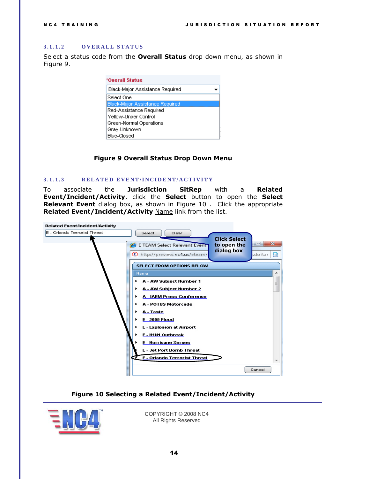#### <span id="page-13-0"></span>**3 . 1 . 1 . 2 O V E R A L L S T A T U S**

Select a status code from the **Overall Status** drop down menu, as shown in [Figure 9.](#page-13-2)

| *Overall Status                        |
|----------------------------------------|
| Black-Major Assistance Required        |
| Select One                             |
| <b>Elack-Major Assistance Required</b> |
| Red-Assistance Required                |
| Yellow-Under Control                   |
| Green-Normal Operations                |
| Gray-Unknown                           |
| <b>Blue-Closed</b>                     |

#### **Figure 9 Overall Status Drop Down Menu**

#### <span id="page-13-2"></span><span id="page-13-1"></span>**3 . 1 . 1 . 3 R E L A T E D E V E N T / I N C I D E N T / A C T I V I T Y**

To associate the **Jurisdiction SitRep** with a **Related Event/Incident/Activity**, click the **Select** button to open the **Select Relevant Event** dialog box, as shown in [Figure 10](#page-13-3) . Click the appropriate **Related Event/Incident/Activity** Name link from the list.

| <b>Related Event/Incident/Activity</b> |                                                                                                   |
|----------------------------------------|---------------------------------------------------------------------------------------------------|
| E - Orlando Terrorist Threat           | Select<br>Clear<br><b>Click Select</b><br>X<br>$=$<br>E TEAM Select Relevant Event<br>to open the |
|                                        | dialog box<br>http://preview.nc4.us/eteam/<br>.do?tar<br>⋈                                        |
|                                        | <b>SELECT FROM OPTIONS BELOW</b>                                                                  |
|                                        | Name<br>۰                                                                                         |
|                                        | A - AW Subject Number 1<br>▶<br>Ξ                                                                 |
|                                        | A - AW Subject Number 2<br>٠                                                                      |
|                                        | <b>A - IAEM Press Conference</b><br>٠                                                             |
|                                        | <b>A - POTUS Motorcade</b><br>٠                                                                   |
|                                        | A - Taste                                                                                         |
|                                        | E - 2009 Flood                                                                                    |
|                                        | <b>E - Explosion at Airport</b>                                                                   |
|                                        | E - H1N1 Outbreak                                                                                 |
|                                        | <b>E</b> - Hurricane Xerxes                                                                       |
|                                        | <b>E</b> - Jet Port Bomb Threat                                                                   |
|                                        | <b>E</b> - Orlando Terrorist Threat<br>ŒF                                                         |
|                                        | Cancel                                                                                            |

#### **Figure 10 Selecting a Related Event/Incident/Activity**

<span id="page-13-3"></span>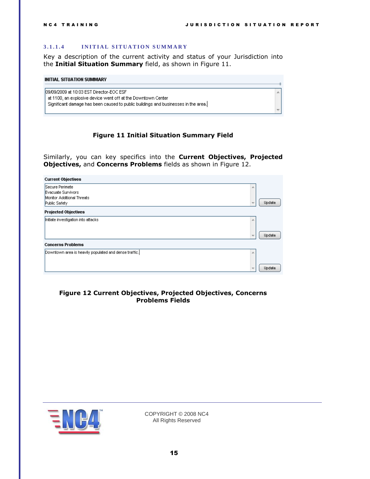×.

#### <span id="page-14-0"></span>**3 . 1 . 1 . 4 I N I T I A L S I T U A T I O N S U M M A R Y**

Key a description of the current activity and status of your Jurisdiction into the **Initial Situation Summary** field, as shown in [Figure 11.](#page-14-1)

### **INITIAL SITUATION SUMMARY** 09/09/2009 at 10:03 EST Director-EOC ESF at 1100, an explosive device went off at the Downtown Center

Significant damage has been caused to public buildings and businesses in the area.

#### **Figure 11 Initial Situation Summary Field**

<span id="page-14-1"></span>Similarly, you can key specifics into the **Current Objectives, Projected Objectives,** and **Concerns Problems** fields as shown in [Figure 12.](#page-14-2)

| <b>Current Objectives</b>                             |                          |        |
|-------------------------------------------------------|--------------------------|--------|
| Secure Perimete                                       | 业                        |        |
| Evacuate Survivors                                    |                          |        |
| Monitor Additional Threats                            |                          |        |
| Public Safety                                         | $\overline{\phantom{a}}$ | Update |
| <b>Projected Objectives</b>                           |                          |        |
| Initiate investigation into attacks                   | 盀                        |        |
|                                                       |                          |        |
|                                                       | ÷                        | Update |
| <b>Concerns Problems</b>                              |                          |        |
| Downtown area is heavily populated and dense traffic. | 止                        |        |
|                                                       |                          |        |
|                                                       | $\overline{\phantom{a}}$ | Update |

#### <span id="page-14-2"></span>**Figure 12 Current Objectives, Projected Objectives, Concerns Problems Fields**

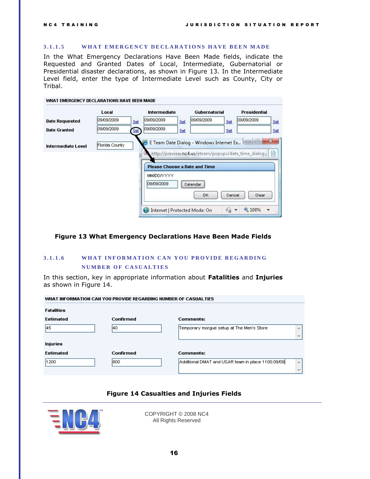#### <span id="page-15-0"></span>**3.1.1.5** WHAT EMERGENCY DECLARATIONS HAVE BEEN MADE

In the What Emergency Declarations Have Been Made fields, indicate the Requested and Granted Dates of Local, Intermediate, Gubernatorial or Presidential disaster declarations, as shown in [Figure 13.](#page-15-2) In the Intermediate Level field, enter the type of Intermediate Level such as County, City or Tribal.

|                           | Local          | <b>Intermediate</b>                  | <b>Gubernatorial</b> | <b>Presidential</b>                                   |     |
|---------------------------|----------------|--------------------------------------|----------------------|-------------------------------------------------------|-----|
| <b>Date Requested</b>     | 109/09/2009    | 109/09/2009<br>Set<br>Set            | 09/09/2009           | 09/09/2009<br>Set                                     | Set |
| <b>Date Granted</b>       | 09/09/2009     | 09/09/2009<br>Set<br>Set             |                      | Set                                                   | Set |
| <b>Intermediate Level</b> | Florida County | <b>Please Choose a Date and Time</b> |                      | http://preview.nc4.us/eteam/popups/date_time_dialog.j | ⊗   |
|                           |                | <b>MM/DD/YYYY</b>                    |                      |                                                       |     |

#### <span id="page-15-2"></span>**Figure 13 What Emergency Declarations Have Been Made Fields**

### <span id="page-15-1"></span>**3 . 1 . 1 . 6 W H A T I N F O R M A T I O N C A N Y O U P R O V I D E R E G A R D I N G NUMBER OF CASUALTIES**

In this section, key in appropriate information about **Fatalities** and **Injuries**  as shown in [Figure 14.](#page-15-3)

| WHAT INFORMATION CAN YOU PROVIDE REGARDING NUMBER OF CASUALTIES |           |                                                        |  |  |  |  |  |
|-----------------------------------------------------------------|-----------|--------------------------------------------------------|--|--|--|--|--|
| <b>Fatalities</b>                                               |           |                                                        |  |  |  |  |  |
| <b>Estimated</b>                                                | Confirmed | Comments:                                              |  |  |  |  |  |
| 45.                                                             | 140       | Temporary morgue setup at The Men's Store.<br>×.       |  |  |  |  |  |
| Injuries                                                        |           |                                                        |  |  |  |  |  |
| <b>Estimated</b>                                                | Confirmed | Comments:                                              |  |  |  |  |  |
| 1200                                                            | 800       | Additional DMAT and USAR team in place 1100:09/09<br>土 |  |  |  |  |  |
|                                                                 |           |                                                        |  |  |  |  |  |

#### **Figure 14 Casualties and Injuries Fields**

<span id="page-15-3"></span>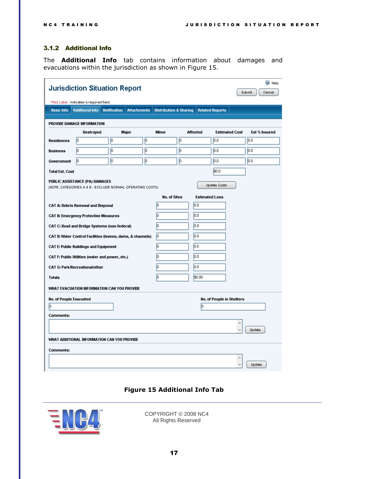### <span id="page-16-0"></span>3.1.2 Additional Info

The **Additional Info** tab contains information about damages and evacuations within the jurisdiction as shown in [Figure 15.](#page-16-1)

| <b>Jurisdiction Situation Report</b>                         |                                                            |                     |                    |                                   |     |                       | C Help                    |  |               |  |
|--------------------------------------------------------------|------------------------------------------------------------|---------------------|--------------------|-----------------------------------|-----|-----------------------|---------------------------|--|---------------|--|
| Submit.<br>Cancel<br>*Red Label: indicates a required field. |                                                            |                     |                    |                                   |     |                       |                           |  |               |  |
| <b>Basic Info</b>                                            | <b>Additional Info</b>                                     | <b>Notification</b> | <b>Attachments</b> | <b>Distribution &amp; Sharing</b> |     |                       | <b>Related Reports</b>    |  |               |  |
| PROVIDE DAMAGE INFORMATION                                   |                                                            |                     |                    |                                   |     |                       |                           |  |               |  |
|                                                              | Destroyed                                                  |                     | Major              | Minor                             |     | Affected              | <b>Estimated Cost</b>     |  | Est % Insured |  |
| <b>Residences</b>                                            | lо                                                         | lo.                 | lo.                |                                   | lo. |                       | 0.0                       |  | lo.o          |  |
| <b>Business</b>                                              | lо                                                         | lo.                 | lo.                |                                   | lo. |                       | lo.o                      |  | 0.0           |  |
| Government                                                   | lо                                                         | Го                  | lo.                |                                   | lo. |                       | 0.0                       |  | 0.0           |  |
| <b>Total Est. Cost</b>                                       |                                                            |                     |                    |                                   |     |                       | \$0.0                     |  |               |  |
|                                                              | PUBLIC ASSISTANCE (PA) DAMAGES                             |                     |                    |                                   |     |                       | Update Costs              |  |               |  |
|                                                              | (NOTE: CATEGORIES A & B - EXCLUDE NORMAL OPERATING COSTS). |                     |                    | <b>No. of Sites</b>               |     | <b>Estimated Loss</b> |                           |  |               |  |
|                                                              | CAT A: Debris Removal and Disposal                         |                     |                    | Iо                                |     | 0.0                   |                           |  |               |  |
|                                                              | CAT B: Emergency Protective Measures                       |                     |                    | Iо                                |     | 0.0                   |                           |  |               |  |
|                                                              | CAT C: Road and Bridge Systems (non-federal)               |                     |                    | lо                                |     | 0.0                   |                           |  |               |  |
|                                                              | CAT D: Water Control Facilities (levees, dams, & channels) |                     |                    | ю                                 |     | 0.0                   |                           |  |               |  |
|                                                              | <b>CAT E: Public Buildings and Equipment</b>               |                     |                    | lo.                               |     | 0.0                   |                           |  |               |  |
|                                                              | CAT F: Public Utilities (water and power, etc.)            |                     |                    | lо                                |     | 0.0                   |                           |  |               |  |
|                                                              | <b>CAT G: Park/Recreational/other</b>                      |                     |                    | lo.                               |     | 0.0                   |                           |  |               |  |
| <b>Totals</b>                                                |                                                            |                     |                    | lo.                               |     | \$0.00                |                           |  |               |  |
|                                                              | WHAT EVACUATION INFORMATION CAN YOU PROVIDE                |                     |                    |                                   |     |                       |                           |  |               |  |
| <b>No. of People Evacuated</b>                               |                                                            |                     |                    |                                   |     |                       | No. of People in Shelters |  |               |  |
| lо                                                           |                                                            |                     |                    |                                   |     | lo                    |                           |  |               |  |
| <b>Comments:</b>                                             |                                                            |                     |                    |                                   |     |                       |                           |  |               |  |
|                                                              |                                                            |                     |                    |                                   |     |                       |                           |  | Update        |  |
|                                                              | WHAT ADDITIONAL INFORMATION CAN YOU PROVIDE                |                     |                    |                                   |     |                       |                           |  |               |  |
| <b>Comments:</b>                                             |                                                            |                     |                    |                                   |     |                       |                           |  |               |  |
|                                                              |                                                            |                     |                    |                                   |     |                       |                           |  |               |  |
|                                                              |                                                            |                     |                    |                                   |     |                       |                           |  | Update        |  |

### **Figure 15 Additional Info Tab**

<span id="page-16-1"></span>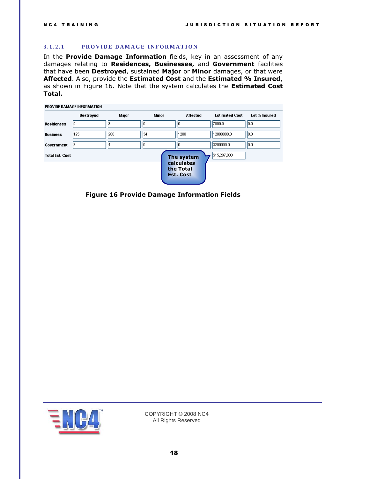#### <span id="page-17-0"></span>3.1.2.1 **PROVIDE DAMAGE INFORMATION**

In the **Provide Damage Information** fields, key in an assessment of any damages relating to **Residences, Businesses,** and **Government** facilities that have been **Destroyed**, sustained **Major** or **Minor** damages, or that were **Affected**. Also, provide the **Estimated Cost** and the **Estimated % Insured**, as shown in [Figure 16.](#page-17-1) Note that the system calculates the **Estimated Cost Total.**

| PROVIDE DAMAGE INFORMATION |           |       |              |                         |                       |               |  |  |
|----------------------------|-----------|-------|--------------|-------------------------|-----------------------|---------------|--|--|
|                            | Destroyed | Major | <b>Minor</b> | <b>Affected</b>         | <b>Estimated Cost</b> | Est % Insured |  |  |
| <b>Residences</b>          |           | l8    | 10           |                         | 7000.0                | 0.0           |  |  |
| <b>Business</b>            | 125       | 200   | 134          | 1200                    | 12000000.0            | 0.0           |  |  |
| Government                 | 13        | 14    | Ю            |                         | 3200000.0             | 0.0           |  |  |
| <b>Total Est. Cost</b>     |           |       |              | The system              | \$15,207,000          |               |  |  |
|                            |           |       |              | calculates<br>the Total |                       |               |  |  |
|                            |           |       |              | <b>Est. Cost</b>        |                       |               |  |  |

<span id="page-17-1"></span>**Figure 16 Provide Damage Information Fields**

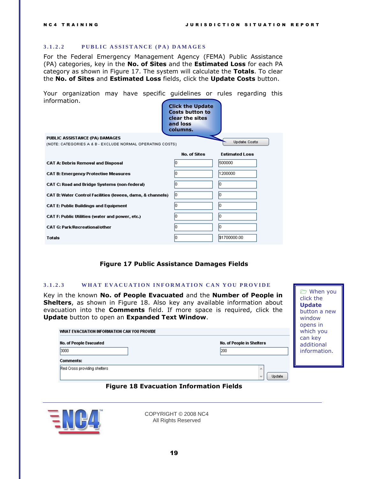When you click the **Update**  button a new window

#### <span id="page-18-0"></span>3.1.2.2 PUBLIC ASSISTANCE (PA) DAMAGES

For the Federal Emergency Management Agency (FEMA) Public Assistance (PA) categories, key in the **No. of Sites** and the **Estimated Loss** for each PA category as shown in [Figure 17.](#page-18-2) The system will calculate the **Totals**. To clear the **No. of Sites** and **Estimated Loss** fields, click the **Update Costs** button.

Your organization may have specific guidelines or rules regarding this information.

|                                                            | <b>Click the Update</b><br><b>Costs button to</b><br>clear the sites<br>and loss<br>columns. |                       |
|------------------------------------------------------------|----------------------------------------------------------------------------------------------|-----------------------|
| PUBLIC ASSISTANCE (PA) DAMAGES                             |                                                                                              |                       |
| (NOTE: CATEGORIES A & B - EXCLUDE NORMAL OPERATING COSTS). |                                                                                              | <b>Update Costs</b>   |
|                                                            | <b>No. of Sites</b>                                                                          | <b>Estimated Loss</b> |
| <b>CAT A: Debris Removal and Disposal</b>                  |                                                                                              | 500000                |
| CAT B: Emergency Protective Measures                       |                                                                                              | 1200000               |
| CAT C: Road and Bridge Systems (non-federal)               |                                                                                              | m                     |
| CAT D: Water Control Facilities (levees, dams, & channels) | Ю                                                                                            |                       |
| <b>CAT E: Public Buildings and Equipment</b>               |                                                                                              | m                     |
| CAT F: Public Utilities (water and power, etc.)            |                                                                                              | m                     |
| <b>CAT G: Park/Recreational/other</b>                      |                                                                                              | Ю                     |
| <b>Totals</b>                                              |                                                                                              | \$1700000.00          |

#### <span id="page-18-1"></span>**Figure 17 Public Assistance Damages Fields**

#### <span id="page-18-2"></span>**3 . 1 . 2 . 3 W H A T E V A C U A T I O N I N F O R M A T I O N C A N Y O U P R O V IDE**

Key in the known **No. of People Evacuated** and the **Number of People in Shelters**, as shown in [Figure 18.](#page-18-3) Also key any available information about evacuation into the **Comments** field. If more space is required, click the **Update** button to open an **Expanded Text Window**.

| WHAT EVACUATION INFORMATION CAN YOU PROVIDE |                                  |                                       |  |  |
|---------------------------------------------|----------------------------------|---------------------------------------|--|--|
| No. of People Evacuated<br>3000             | No. of People in Shelters<br>200 | can key<br>additional<br>information. |  |  |
| Comments:                                   |                                  |                                       |  |  |
| Red Cross providing shelters                | Update                           |                                       |  |  |

#### **Figure 18 Evacuation Information Fields**

<span id="page-18-3"></span>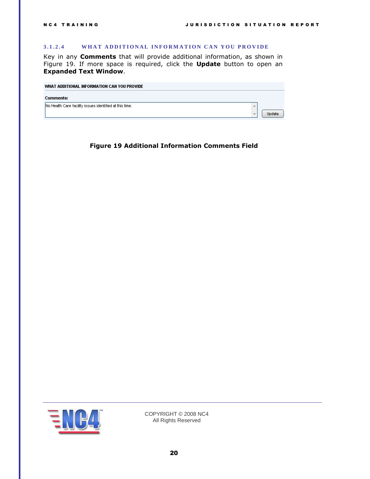#### <span id="page-19-0"></span>**3.1.2.4** WHAT ADDITIONAL INFORMATION CAN YOU PROVIDE

Key in any **Comments** that will provide additional information, as shown in [Figure 19.](#page-19-1) If more space is required, click the **Update** button to open an **Expanded Text Window**.

| WHAT ADDITIONAL INFORMATION CAN YOU PROVIDE             |  |
|---------------------------------------------------------|--|
| Comments:                                               |  |
| No Health Care facility issues identified at this time. |  |

<span id="page-19-1"></span>**Figure 19 Additional Information Comments Field**

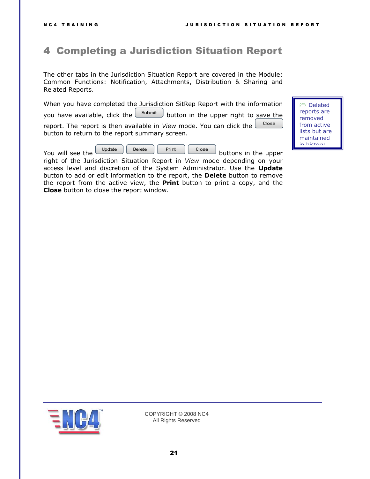Deleted reports are removed from active lists but are maintained in history.

# <span id="page-20-0"></span>4 Completing a Jurisdiction Situation Report

The other tabs in the Jurisdiction Situation Report are covered in the Module: Common Functions: Notification, Attachments, Distribution & Sharing and Related Reports.

When you have completed the Jurisdiction SitRep Report with the information

you have available, click the  $\boxed{\phantom{\underline{\hbox{submit}}\phantom{\bar{\hbox{subn}}}}$  button in the upper right to save the

Close report. The report is then available in *View* mode. You can click the button to return to the report summary screen.

You will see the  $\begin{bmatrix} \cup_{\text{pdate}} \\ \cup_{\text{delete}} \end{bmatrix}$   $\begin{bmatrix} \text{Print} \\ \text{close} \end{bmatrix}$  buttons in the upper

right of the Jurisdiction Situation Report in *View* mode depending on your access level and discretion of the System Administrator. Use the **Update** button to add or edit information to the report, the **Delete** button to remove the report from the active view, the **Print** button to print a copy, and the **Close** button to close the report window.

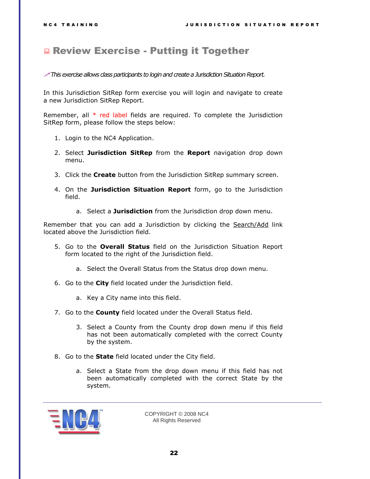## <span id="page-21-0"></span>**Review Exercise - Putting it Together**

#### *This exercise allows class participants to login and create a Jurisdiction Situation Report.*

In this Jurisdiction SitRep form exercise you will login and navigate to create a new Jurisdiction SitRep Report.

Remember, all  $*$  red label fields are required. To complete the Jurisdiction SitRep form, please follow the steps below:

- 1. Login to the NC4 Application.
- 2. Select **Jurisdiction SitRep** from the **Report** navigation drop down menu.
- 3. Click the **Create** button from the Jurisdiction SitRep summary screen.
- 4. On the **Jurisdiction Situation Report** form, go to the Jurisdiction field.
	- a. Select a **Jurisdiction** from the Jurisdiction drop down menu.

Remember that you can add a Jurisdiction by clicking the Search/Add link located above the Jurisdiction field.

- 5. Go to the **Overall Status** field on the Jurisdiction Situation Report form located to the right of the Jurisdiction field.
	- a. Select the Overall Status from the Status drop down menu.
- 6. Go to the **City** field located under the Jurisdiction field.
	- a. Key a City name into this field.
- 7. Go to the **County** field located under the Overall Status field.
	- 3. Select a County from the County drop down menu if this field has not been automatically completed with the correct County by the system.
- 8. Go to the **State** field located under the City field.
	- a. Select a State from the drop down menu if this field has not been automatically completed with the correct State by the system.

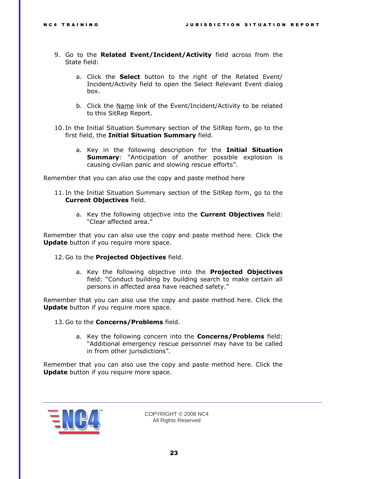- 9. Go to the **Related Event/Incident/Activity** field across from the State field:
	- a. Click the **Select** button to the right of the Related Event/ Incident/Activity field to open the Select Relevant Event dialog box.
	- b. Click the Name link of the Event/Incident/Activity to be related to this SitRep Report.
- 10. In the Initial Situation Summary section of the SitRep form, go to the first field, the **Initial Situation Summary** field.
	- a. Key in the following description for the **Initial Situation Summary**: "Anticipation of another possible explosion is causing civilian panic and slowing rescue efforts".

Remember that you can also use the copy and paste method here

- 11. In the Initial Situation Summary section of the SitRep form, go to the **Current Objectives** field.
	- a. Key the following objective into the **Current Objectives** field: "Clear affected area."

Remember that you can also use the copy and paste method here. Click the **Update** button if you require more space.

- 12. Go to the **Projected Objectives** field.
	- a. Key the following objective into the **Projected Objectives** field: "Conduct building by building search to make certain all persons in affected area have reached safety."

Remember that you can also use the copy and paste method here. Click the **Update** button if you require more space.

- 13. Go to the **Concerns/Problems** field.
	- a. Key the following concern into the **Concerns/Problems** field: "Additional emergency rescue personnel may have to be called in from other jurisdictions".

Remember that you can also use the copy and paste method here. Click the **Update** button if you require more space.

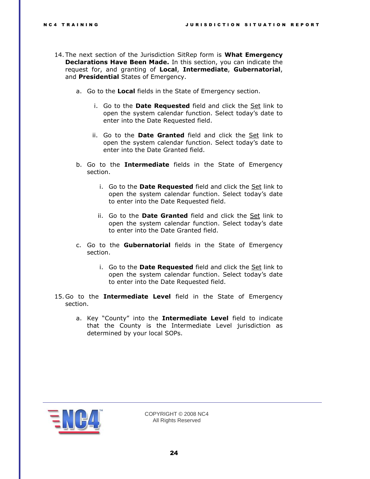- 14. The next section of the Jurisdiction SitRep form is **What Emergency Declarations Have Been Made.** In this section, you can indicate the request for, and granting of **Local**, **Intermediate**, **Gubernatorial**, and **Presidential** States of Emergency.
	- a. Go to the **Local** fields in the State of Emergency section.
		- i. Go to the **Date Requested** field and click the Set link to open the system calendar function. Select today's date to enter into the Date Requested field.
		- ii. Go to the **Date Granted** field and click the Set link to open the system calendar function. Select today's date to enter into the Date Granted field.
	- b. Go to the **Intermediate** fields in the State of Emergency section.
		- i. Go to the **Date Requested** field and click the Set link to open the system calendar function. Select today's date to enter into the Date Requested field.
		- ii. Go to the **Date Granted** field and click the Set link to open the system calendar function. Select today's date to enter into the Date Granted field.
	- c. Go to the **Gubernatorial** fields in the State of Emergency section.
		- i. Go to the **Date Requested** field and click the Set link to open the system calendar function. Select today's date to enter into the Date Requested field.
- 15. Go to the **Intermediate Level** field in the State of Emergency section.
	- a. Key "County" into the **Intermediate Level** field to indicate that the County is the Intermediate Level jurisdiction as determined by your local SOPs.

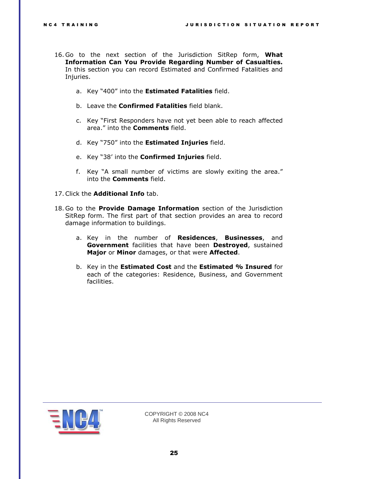- 16. Go to the next section of the Jurisdiction SitRep form, **What Information Can You Provide Regarding Number of Casualties.**  In this section you can record Estimated and Confirmed Fatalities and Injuries.
	- a. Key "400" into the **Estimated Fatalities** field.
	- b. Leave the **Confirmed Fatalities** field blank.
	- c. Key "First Responders have not yet been able to reach affected area." into the **Comments** field.
	- d. Key "750" into the **Estimated Injuries** field.
	- e. Key "38' into the **Confirmed Injuries** field.
	- f. Key "A small number of victims are slowly exiting the area." into the **Comments** field.
- 17.Click the **Additional Info** tab.
- 18. Go to the **Provide Damage Information** section of the Jurisdiction SitRep form. The first part of that section provides an area to record damage information to buildings.
	- a. Key in the number of **Residences**, **Businesses**, and **Government** facilities that have been **Destroyed**, sustained **Major** or **Minor** damages, or that were **Affected**.
	- b. Key in the **Estimated Cost** and the **Estimated % Insured** for each of the categories: Residence, Business, and Government facilities.